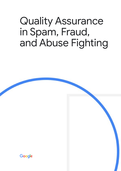# Quality Assurance in Spam, Fraud, and Abuse Fighting

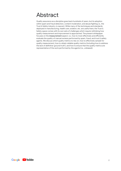### <span id="page-1-0"></span>Abstract

Quality assurance as a discipline goes back hundreds of years, but its adoption within spam and fraud detection, content moderation, and abuse fighting i.e., the Trust & Safety industry, is nascent. While many of the techniques and standards deployed in manufacturing, health care, aviation, etc. are useful here, the Trust & Safety space comes with its own sets of challenges which require rethinking how quality measurement and improvement is approached. The present whitepaper focuses on the **measurement** aspect, i.e., how to most effectively and efficiently evaluate the quality of manual reviews performed by spam, fraud, and trust & safety agents. We discuss which quality metrics to rely on, how to effectively sample for quality measurement, how to obtain reliable quality metrics (including how to address the lack of definitive 'ground truth'), and how to ensure that the quality metrics are representative of the work performed by the agents (i.e., unbiased).

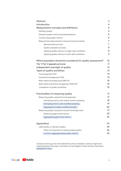| <b>Abstract</b>   |                                                               | $\overline{2}$ |
|-------------------|---------------------------------------------------------------|----------------|
| Introduction      |                                                               | 4              |
|                   | <b>Measurement concepts and definitions</b>                   | 5              |
|                   | Defining 'quality'                                            | 5              |
|                   | Standard quality metrics and interpretations                  | 5              |
|                   | Constructing quality metrics                                  | 5              |
|                   | Measurement approaches to manual review processes             | 7              |
|                   | Manual review process                                         | 7              |
|                   | Quality evaluation process                                    | 8              |
|                   | Applying quality metrics in single-rater workflows            | 8              |
|                   | Applying quality metrics in multi-rater workflows             | 9              |
|                   | Which population should be considered for quality assessment? | 10             |
|                   | Tier 1: Tier 2 appeals process                                | 11             |
|                   | Independent oversight of quality                              | 12             |
|                   | <b>Types of quality workflows</b>                             | 13             |
|                   | Funnel approach (FA)                                          | 13             |
|                   | Inverted funnel approach (IFA)                                | 13             |
|                   | Multi-rated funnel approach (MR-FA)                           | 14             |
|                   | Multi-rated inverted funnel approach (MR-IFA)                 | 14             |
|                   | Comparison of quality workflows                               | 15             |
|                   | <b>Practicalities of measuring quality</b>                    | 17             |
|                   | Measuring quality using the funnel approach                   | 17             |
|                   | Estimating metrics with simple random sampling                | 18             |
|                   | Estimating metrics with stratified sampling                   | 19             |
|                   | Aggregating multiple stratified samples                       | 20             |
|                   | Measuring quality using the inverted funnel approach          | 21             |
|                   | Measuring agent-level metrics                                 | 22             |
|                   | Aggregating agent-level metrics                               | 22             |
| <b>Appendices</b> |                                                               | 24             |
|                   | Label quality vs. decision quality                            | 24             |
|                   | When is it important to measure label quality?                | 25             |
|                   | A note on aggregate label quality metrics                     | 25             |

Certain sections go into more detail than what is needed to obtain a high-level understanding of the topic, and these can be skipped. These sections have been highlighted in blue.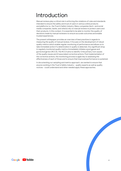### <span id="page-3-0"></span>Introduction

Manual reviews play a critical role in enforcing the violations of rules and standards intended to ensure the safety and trust of users in various online products and platforms i.e., the Trust & Safety industry. Many companies (tech- and social media companies, banks, and others) rely on manual reviews to protect users and their products. In this context, It is essential to be able to monitor the quality of decisions made by manual reviewers to ensure accurate outcomes and enable trusted experiences.

The present whitepaper provides an overview of *best practices in regards to measuring the quality of manual reviews*. It focuses on the development of robust quality metrics which enable regular monitoring of performance and allows us to take immediate action if a deterioration in quality is detected. Any significant drop in regularly monitored quality metrics immediately initiates a **r**oot **c**ause and **c**orrective **a**ction (RCCA). The RCCA aims to identify 1) the primary root causes of the quality issues and 2) associated corrective actions. Post implementation of the corrective actions, the monitoring process is again key to assessing the effectiveness of each of those and to ensure that improved performance is sustained.

In documenting our sampling and metrics approach, we wanted to ensure that anyone working in the Trust & Safety industry - quality experts as well as quality novices - could understand and when needed apply these approaches.

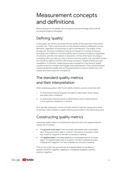### Measurement concepts and definitions

Before diving into the details, let's introduce some terminology which we will be using throughout this paper.

### Defining 'quality'

In this paper, we will be concerned with the quality of the *outcome* of the review process only. That is, we focus only on the manual reviewers making the *correct decisions*, regardless of the process to get to that decision. The quality of the process (i.e. 'process compliance') may be of interest for a variety of reasons, including how it relates to outcome quality, how it ensures consistency regardless of outcome, and the role it places in assurance. On the other hand, focusing on complying with a process as a way to ensure outcome quality may miss defects that are caused by agents coming to the wrong conclusion, despite perfect process compliance. In practice, measuring process compliance in the world of digital content reviews is complex and fraught with potential error. Thus, *we recommend measuring decision quality* and working backwards in a way to unearth any root causes around process non-compliance.

### The standard quality metrics and their interpretation

When assessing quality in the Trust & Safety industry, we are concerned with:

- 1. To what extent manual reviewers are able to catch spam, fraud, abuse, and other policy violations;
- 2. To what extent manual reviewers label/enforce only on items that are in fact spammy, fraudulent, or abusive.

#1 is typically measured in terms of *recall*, and #2 is typically measured in terms of precision. More details on quality metrics are provided in the following section.

#### Constructing quality metrics

Assessing quality relies on comparing the ground truth to the applied label for a given set of content.

- The **ground truth label** is the true state associated with a reviewable item. The ground truth state is 'positive' if the item is truly policy violating. A state is 'negative' if the item is *not* policy violating.
- The **applied label** is the label *applied* to a reviewable item by a human agent. The applied label state is 'positive' if an item is *labeled* as policy violating and 'negative' if an item is *labeled* as not policy violating.

Thus for any entity, the ground truth and applied label can be aligned (positive-positive, negative-negative) or misaligned (negative-positive, positive-negative).

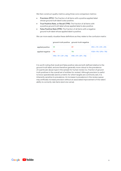We then construct quality metrics using three core comparison metrics:

- **Precision (PPV):** The fraction of all items with a positive applied label whose ground truth label is also positive.
- **True Positive Rate, or Recall (TPR):** The fraction of all items with a positive ground truth label whose applied label is also positive.
- **False Positive Rate (FPR):** The fraction of all items with a negative ground truth label whose applied label is positive.

We can more easily visualize these definitions as they relate to the confusion matrix:

|                            |                                                                                                       | ground-truth positive ground-truth negative |                        |
|----------------------------|-------------------------------------------------------------------------------------------------------|---------------------------------------------|------------------------|
| applied positive <b>TP</b> |                                                                                                       |                                             | $PPV = TP / (TP + FP)$ |
| applied negative <b>FN</b> |                                                                                                       |                                             | $FOR = FN / (FN + TN)$ |
|                            | $\text{TPR} = \text{TP} / (\text{TP} + \text{FN})$ $\text{FPR} = \text{FP} / (\text{FP} + \text{TN})$ |                                             |                        |

It is worth noting that recall and false positive rate are both defined relative to the ground-truth label, and are therefore generally more robust to the prevalence of a particular abuse type in the sample for human review (i.e. fraction of ground truth positives in the overall set of entities for review). Although precision is useful to know operationally (and is a metric for which targets are commonly set), it is inherently sensitive to prevalence. An increase in prevalence in the review queue may artificially increase precision without an associated improvement of the raters' ability to correctly rate items (and vice versa).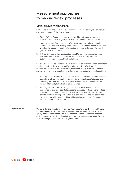#### Measurement approaches to manual review processes

#### Manual review processes

Companies (tech- and social media companies, banks, and others) rely on manual reviews for a range of different activities:

- 1. *Direct Policy enforcement:* items which algorithms struggle to classify as abuse/non-abuse (a.k.a. 'gray area cases') are submitted for manual review.
- 2. *Appeals and User Communication:* When users appeal or otherwise seek additional feedback on a policy enforcement action, manual reviewers evaluate whether the account or content in question is indeed policy compliant, and grant appeals accordingly.
- 3. *Indirect Enforcement via Machine Learning:* Manual reviewers assign labels to specific content and entities which are used in training algorithms to automatically detect spam, fraud, and abuse.

Review flows are typically organized into 'queues' which surface a stream of content that is related by policy violation and/or product in order to facilitate efficient and accurate reviews. Within the queues, there are typically two tiers of manual reviewers charged to overseeing the review of content and policy violating entities:

- *Tier 1 agents* perform the manual reviews described above (policy enforcement, appeals handling, labeling). Tier 1 can consist of multiple agents independently reviewing the same item (a.k.a. a *multi-rated workflow*) and entities can be reviewed for multiple kinds of violations at once.
- *Tier 2 agents (a.k.a. QAs, or QA agents)* evaluate the quality of the work performed by the Tier 1 agents to assess for accuracy of decision and surface any doubts or common issues to policy experts. Tier 2 agents are typically agents who have developed a certain level of experience and subject matter expertise, by working and upholding a high quality standard as Tier 1 agents for an extended period of time.

Assumption **We consider the decision provided by Tier 2 agents to be the 'ground truth', as defined above.** We do recognize, however, that Tier 2 agents have imperfect quality, as does any human being. In the sections, 'Tier 1:Tier 2 appeals process' and 'Independent oversight of quality', we discuss ways of compensating for this and correcting the metrics for Tier 2 agent defects.

Google **Executive**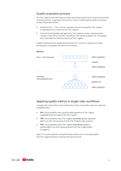#### Quality evaluation process

The Tier 2 agents described above review and assess quality by re-review of previously reviewed content. In general, there are two ways of assessing the quality of manual reviews (illustrated below):

- Standard Tier 1 -> Tier 2 funnel: a sample of items reviewed by Tier 1 agents is submitted for re-review by the Tier 2 agents.
- Inverted funnel (golden set) approach: Tier 2 agents review a representative sample of items from the Tier 1 workflows. We call this a *golden* set. The golden set is submitted for (blind) review by all Tier 1 agents.

Quality is defined as the agreement between Tier 1 and Tier 2 decisions in either the sample or the golden set. More on this below.

#### **Method**



#### Applying quality metrics in single-rater workflows

In single rater review flows, the construction of the core quality metrics is relatively straightforward:

- **PPV:** The probability that a positive label applied by a Tier 1 agent is **correct** given the label of the Tier 2 agent;
- **TPR:** The probability that a Tier 1 agent **correctly** applies a *positive*  label to an item whose *ground truth (Tier 2) label* is also positive;
- **FPR:** The probability that a Tier 1 agent **incorrectly** applies a *positive label* to an item whose *ground truth (Tier 2 agent) label* is negative.

Again, it is worth explicitly noting that these metrics rely on the assumption that Tier 2 agent decisions represent the ground truth.

**S**YouTube Google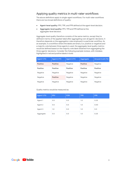#### Applying quality metrics in multi-rater workflows

The above definitions apply to single-agent workflows. For multi-rater workflows there are two broad definitions of quality:

- **Agent-level quality:** PPV, TPR, and FPR defined at the agent-level decision.
- **Aggregate-level quality:** PPV, TPR and FPR defined at the aggregate-level decision.

Aggregate-level quality therefore consists of the same metrics, except they're defined in terms of the applied-label after aggregating over all agents' decisions. It therefore depends on the aggregation rules employed in a particular workflow. As an example, in a workflow where the labels are binary (i.e. positive or negative) and a majority vote between three agents is used, the aggregate-level quality metrics would be defined based on the majority vote label obtained from aggregating the three agents' decisions. Consider the following example reviews, with mistakes highlighted in red and positive labels in bold:

| <b>Agent 1 (T1)</b> | <b>Agent 2 (T1)</b> | <b>Agent 3 (T1)</b> | Aggregate       | Ground-truth (T2) |
|---------------------|---------------------|---------------------|-----------------|-------------------|
| <b>Positive</b>     | <b>Positive</b>     | Negative            | <b>Positive</b> | <b>Negative</b>   |
| <b>Positive</b>     | <b>Positive</b>     | <b>Positive</b>     | <b>Positive</b> | <b>Positive</b>   |
| <b>Negative</b>     | <b>Negative</b>     | Negative            | Negative        | <b>Negative</b>   |
| <b>Negative</b>     | <b>Positive</b>     | Negative            | Negative        | <b>Negative</b>   |
| <b>Negative</b>     | <b>Negative</b>     | <b>Negative</b>     | <b>Negative</b> | <b>Negative</b>   |

Quality metrics would be measured as:

| Agent 1 (T1) | <b>PPV</b> | <b>FOR</b> | <b>TPR</b>       | <b>FPR</b> |
|--------------|------------|------------|------------------|------------|
| Agent 1      | 0.5        |            | 1.0              | 0.25       |
| Agent 2      | 0.5        |            | 1.0 <sub>1</sub> | 0.50       |
| Agent 3      | 1.0        |            | 1,0              | 0.0        |
| Aggregate    | 0.5        |            |                  | 0.25       |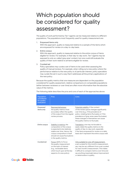## Which population should be considered for quality assessment?

The quality of work performed by Tier 1 agents can be measured relative to different populations. The populations most frequently used for quality measurement are:

1. Enqueued items only

With this approach, quality is measured relative to a sample of the items which are enqueued for review on a day-to-day basis.

2. Entire corpus

With this approach, quality is measured relative to the entire corpus of items *eligible* for review. For example, in their day-to-day work, Tier 1 agents may be exposed to only so-called 'gray area' content, but one could still evaluate the quality of their work relative to all items eligible for review.

3. Curated set

Policy specialists may curate a set of items to be used when assessing the quality of manual reviews. For example, when rolling out a new policy where the performance relative to the new policy is of particular interest, policy specialists may curate the set in such a way that it addresses all the primary applications of the new policy.

Because the quality metrics that one measures are dependent on the population considered for quality assessment, relative comparisons on comparable populations (either between reviewers or over time) are often more informative than the absolute value of the metrics.

| Population<br>considered<br>for quality<br>evaluation | Pros                                                                                                                                                                                                               | Cons                                                                                                                                                                                                                                                                                                             |
|-------------------------------------------------------|--------------------------------------------------------------------------------------------------------------------------------------------------------------------------------------------------------------------|------------------------------------------------------------------------------------------------------------------------------------------------------------------------------------------------------------------------------------------------------------------------------------------------------------------|
| Enqueued<br>items only                                | Representativeness:<br>the quality metrics most<br>accurately reflect the quality<br>of the output from the regular<br>review process.                                                                             | Potential volatility: if the content<br>of the review queue changes significantly<br>over time (e.g., if the prevalence of<br>policy-violating items fluctuates or if the<br>prevalence of gray-area cases fluctuates),<br>these changes in themselves can cause<br>the quality metrics to fluctuate.            |
| Entire corpus                                         | Stability in metrics: the<br>composition of the corpus<br>is expected to be relatively<br>stable over time. Hence, the<br>corpus composition in itself<br>should not cause fluctuations<br>in the quality metrics. | Translation: one may not be able to<br>easily relate the quality metrics to the<br>quality of day-to-day work, especially<br>if the items enqueued for review on a daily<br>basis don't represent the entire corpus well.                                                                                        |
| Curated set                                           | Focus: ability to focus<br>the quality measurement<br>on the topic of interest<br>(e.g., reviewable items<br>which touch upon all the key<br>aspects of a new policy).                                             | Only suitable for one-off measurement:<br>a set curated for this month's measurement.<br>say, may be very different from a set curated<br>for next month's measurement. This makes<br>it difficult to compare metrics over time and<br>say anything meaningful about improvement<br>or deterioration in quality. |

The following table describes the pros and cons of each of the approaches above:

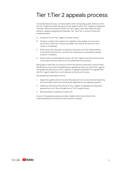### Tier 1:Tier 2 appeals process

As mentioned previously, our assumption when computing quality metrics is that the Tier 2 agent provides the ground truth against which Tier 1 quality is measured. However, there are instances where the Tier 1 agent may have made the right decision, despite disagreement between Tier 1 and Tier 2, some of which are mentioned here:

- A. Human error: the Tier 2 agent could be wrong
- B. Dynamic content: the content of a website or the signals on an account at the time of the Tier 1 review may differ from that at the time the Tier 2 review is completed
- C. Policy gray area: the policy in question may leave room for interpretation, to the extent that the Tier 1 and the Tier 2 decisions could both be viewed as policy-compliant
- D. Abuse-type not addressed by policy: the Tier 1 agent may have come across a new type of abuse which is not yet addressed by any policy

Being able to track the occurrence of all of the above is important in and of itself. We therefore recommend establishing an appeals process, by which Tier 1 agents can appeal the decisions of Tier 2 agents. An appeal is granted if it is agreed that the Tier 1 agent made the correct decision at the time of review.

The appeals process allows one to:

- 1. Adjust the quality metrics for all of the above (A-D): we recommend reporting the raw quality metrics as well as those adjusted for any appeals granted
- 2. Indirectly track the performance of Tier 2 agents: if appeals are frequently granted due to A), then this alerts us of Tier 2 quality issues
- 3. Revisit policies to address C) and/or D).

As such, the appeals process provides insights which are critical to the understanding and continuous improvement of quality.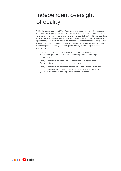## Independent oversight of quality

While the above-mentioned Tier 1:Tier 2 appeals process helps identify instances where the Tier 2 agents make incorrect decisions, it doesn't help identify instances where all agents agree to be wrong. For example, agents (Tier 1 and 2) may over time have agreed to interpret the policy in a certain way, which is inconsistent with the spirit of the policy. Such issues can be surfaced only with some level of *independent oversight* of quality. To this end, any or all of the below can help ensure alignment between agents and policy owners/experts, thereby establishing trust in the quality metrics:

- 1. Frequent calibration/gray area sessions in which policy owners and Tier 2 agents go through particularly challenging examples and align their decisions
- 2. Policy owners review a sample of Tier 2 decisions on a regular basis (similar to the 'funnel approach' described below)
- 3. Policy owners review a representative sample of items which is submitted for blind review by Tier 2 (possibly also) Tier 1 agents on a regular basis (similar to the 'inverted funnel approach' described below)

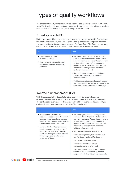### Types of quality workflows

The process of quality sampling and review can be designed in a number of different ways. We describe the four most commonly used approaches in the following sections and summarize it all with a side-by-side comparison of the four.

#### Funnel approach (FA)

Under the standard funnel approach, a sample of reviews performed by Tier 1 agents is submitted for review by the Tier 2 agents. Quality metrics are computed based on the agreements and disagreements between Tier 1 and Tier 2. The Tier 2 reviews may be blind or non-blind. Pros and cons of this approach are described below.

| Pros                                                                                                                                         | Cons                                                                                                                                                                                                                                                                                                                 |
|----------------------------------------------------------------------------------------------------------------------------------------------|----------------------------------------------------------------------------------------------------------------------------------------------------------------------------------------------------------------------------------------------------------------------------------------------------------------------|
| • Ease of implementation,<br>relatively speaking.<br>• Ease of metrics computation, incl.<br>confidence intervals/sample size<br>estimation. | • Not knowing whether the Tier 2 agent has<br>perfect quality and hence to what extent we<br>can trust the metrics. This can to some extent<br>be dealt with by allowing Tier 1 agents to<br>appeal the decisions of Tier 2 agents and via<br>independent oversight by policy owners<br>(cf. the previous sections). |
|                                                                                                                                              | • The Tier 2 resource requirement is higher<br>than for the Inverted Funnel Approach<br>(described below).                                                                                                                                                                                                           |
|                                                                                                                                              | • Unable to guarantee a certain sample size per<br>Tier 1 agent (which tends to be of interest to the<br>ones who coach and manage individual agents).                                                                                                                                                               |

#### Inverted funnel approach (IFA)

With this approach, Tier 2 agents (or other subject-matter experts) review a representative sample of items from the Tier 1 workflows. We call this a *golden set*. The golden set is submitted for (blind) review by all Tier 1 agents, and their quality is evaluated based on the agreement with the Tier 2 decisions.

| Pros                                                                                                                                                                                                                                                                                                                                                                                                                                 | Cons                                                                                                                                                                                                                                                                                                                                                                                                                                                                                                                                                                                                                |
|--------------------------------------------------------------------------------------------------------------------------------------------------------------------------------------------------------------------------------------------------------------------------------------------------------------------------------------------------------------------------------------------------------------------------------------|---------------------------------------------------------------------------------------------------------------------------------------------------------------------------------------------------------------------------------------------------------------------------------------------------------------------------------------------------------------------------------------------------------------------------------------------------------------------------------------------------------------------------------------------------------------------------------------------------------------------|
| • More economical from a Tier 2<br>resource perspective than the Funnel<br>Approach described above: one can<br>obtain more accurate <sup>1</sup> metrics with the<br>same amount of Tier 2 resources.<br>• Ability to drill down to and compare<br>agent-level quality (which may be of<br>particular interest to the ones who<br>coach and manage individual agents):<br>all Tier 1 agents review the same<br>golden set of items. | • Not knowing whether the Tier 2 agent has<br>perfect quality and hence to what extent we<br>can trust the metrics. This can to some extent<br>be dealt with by allowing Tier 1 agents to<br>appeal the decisions of Tier 2 agents and via<br>independent oversight by policy owners<br>(cf. the previous sections).<br>• Technical infrastructure requirements:<br>Parallel routing of a single reviewable item<br>to a Tier 2 agent and to all Tier 1 agents<br>Blind review process required<br>Sample size/confidence interval<br>computations are more involved<br>May need distinct golden sets for different |
|                                                                                                                                                                                                                                                                                                                                                                                                                                      | workflows (e.g. workflows using different<br>languages or dealing with different content).                                                                                                                                                                                                                                                                                                                                                                                                                                                                                                                          |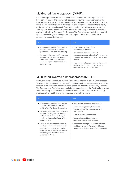#### Multi-rated funnel approach (MR-FA)

In the two approaches described above, we mentioned that Tier 2 agents may not have perfect quality. The quality metrics produced by the Funnel Approach or the Inverted Funnel Approach should therefore be interpreted with some level of caution. While it is hard to entirely solve this problem, one can at least increase the reliability of the metrics by replacing each Tier 2 agent decision by the majority of 3 or more Tier 2 agents. That is each item sampled from the Tier 1 corpus of reviews would be reviewed (blindly) by 3 or more Tier 2 agents. The Tier 1 decision would be compared against the majority vote amongst the Tier 2 agents. The pros and cons of this approach are described below:

| Pros                                                                                                                                                                                                                                                                                                      | Cons                                                                                                                                                                                                                                                                                                                                          |
|-----------------------------------------------------------------------------------------------------------------------------------------------------------------------------------------------------------------------------------------------------------------------------------------------------------|-----------------------------------------------------------------------------------------------------------------------------------------------------------------------------------------------------------------------------------------------------------------------------------------------------------------------------------------------|
| • By introducing multiple Tier 2 reviews<br>per item, we increase the overall<br>quality of the Tier 2 decision-making.<br>• The level of disagreement/consensus<br>between Tier 2 agents can provide<br>useful information about clarity of<br>policies and general difficulty of the<br>review process. | • Most expensive from a Tier 2<br>resourcing perspective.<br>• One needs to have the technical<br>infrastructure required to allow Tier 2 agents<br>to review the same item independent of one<br>another.<br>• Systemic mis-interpretations of policies and<br>similar by the Tier 2 agents would not be<br>compensated for in this process. |

#### Multi-rated inverted funnel approach (MR-IFA)

Lastly, one can also introduce multiple Tier 2 ratings into the Inverted Funnel process. This has all the benefits of the Inverted Funnel Approach but increases our trust in the metrics, in the sense that each item in the golden set would be reviewed by 3 or more Tier 2 agents (and Tier 1 decisions would be compared against the Tier 2 majority vote). While this set-up puts the most demands on technical infrastructure, the resulting metrics are the most trustworthy compared to any of the above.

| Pros                                                                                                                                                                                                                                                                                                     | Cons                                                                                                                                                                                                                                                      |
|----------------------------------------------------------------------------------------------------------------------------------------------------------------------------------------------------------------------------------------------------------------------------------------------------------|-----------------------------------------------------------------------------------------------------------------------------------------------------------------------------------------------------------------------------------------------------------|
| • By introducing multiple Tier 2 reviews<br>per item, we increase the overall<br>quality of the Tier 2 decision-making<br>• The level of disagreement/consensus<br>between Tier 2 agents can provide<br>useful information about clarity of<br>policies and general difficulty of the<br>review process. | • Technical infrastructure requirements:<br>Parallel routing of a single reviewable<br>item to multiple Tier 2 agents and to all<br>Tier 1 agents<br>Blind review process required<br>• Sample size/confidence interval<br>computations are more involved |
| • Ability to drill down to and compare<br>agent-level quality (which may be of<br>particular interest to the ones who<br>coach and manage individual agents):<br>all Tier 1 agents review the same<br>golden set of items.                                                                               | • May need distinct golden sets for different<br>workflows (e.g. workflows using different<br>languages or dealing with different content).                                                                                                               |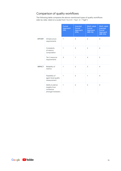#### Comparison of quality workflows

The following table compares the above-mentioned types of quality workflows side-by-side, rated on a scale from 1 to 4 (1 = "low",  $4 =$  "high"):

|               |                                                                      | <b>Funnel</b><br>Approach<br>(FA) | Inverted<br><b>Funnel</b><br>Approach<br>(IFA) | Multi-rated<br><b>Funnel</b><br>Approach<br>$(MR-FA)$ | Multi-rated<br>Inverted<br><b>Funnel</b><br>Approach<br>(MR-IFA) |
|---------------|----------------------------------------------------------------------|-----------------------------------|------------------------------------------------|-------------------------------------------------------|------------------------------------------------------------------|
| <b>EFFORT</b> | Infrastructure<br>requirements                                       | 1                                 | 3                                              | $\overline{2}$                                        | $\overline{4}$                                                   |
|               | Complexity<br>of metrics<br>computation                              | $\mathbf{1}$                      | 3                                              | 2                                                     | 4                                                                |
|               | Tier 2 resource<br>requirements                                      | 3                                 | 1                                              | $\overline{4}$                                        | 2                                                                |
| <b>IMPACT</b> | Reliability of<br>metrics                                            | $\mathbf{1}$                      | 2                                              | 3                                                     | $\overline{4}$                                                   |
|               | Feasibility of<br>agent-level quality<br>measurement                 | $\mathbf{1}$                      | 3                                              | 1                                                     | $\overline{4}$                                                   |
|               | Ability to derive<br>insights from<br>consensus<br>amongst reviewers | $\mathbf{1}$                      | $\overline{2}$                                 | 3                                                     | $\overline{4}$                                                   |

Google DVouTube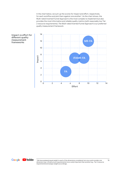In the chart below, we sum up the scores for impact and effort, respectively, for each workflow and plot them against one another<sup>2</sup>. As the chart shows, the Multi-rated Inverted Funnel Approach is the most complex to implement but also provides the most informative and reliable quality metrics (with reasonably low Tier 2 resource requirements). *The Multi-rated Inverted Funnel Approach is our preferred quality measurement framework.* 



<span id="page-15-0"></span>Impact vs effort for different quality measurement frameworks

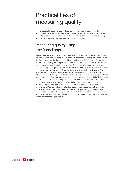## Practicalities of measuring quality

The process of measuring quality depends on which type of quality workflow is employed (cf. the section above), so we discuss the regular funnel and the inverted funnel approaches separately. We will also describe alternative ways of evaluating quality (through multi-rated workflows) in a third subsection.

### Measuring quality using the funnel approach

Under the standard funnel approach, a sample of reviews performed by Tier 1 agents is Quality measurement using the FA is done by randomly sampling entities reviewed by Tier 1 agents and having those entities re-reviewed by Tier 2 agents. The process of random sampling has a significant impact on the robustness of the quality metric estimates produced through this workflow. The most straightforward way to obtain a quality sample is to perform **simple random sampling** (i.e. sample Tier 1-reviewed entities uniformly at random). Once this sample is reviewed by Tier 2 agents, the desired metrics can be directly estimated from the resulting confusion matrix. However, abuse fighting/content moderation workflows tend to have **low prevalence**, meaning that the fraction of reviewable entities which are policy-violating is very small. As a result, if one selects a sample of Tier 1-reviewed entities uniformly at random, there will generally be very few positive labels in the sample, making it hard to evaluate the precision (PPV) of these workflows. To combat this, it is common to employ **stratified sampling or weighted (a.k.a. importance) sampling**, in order to oversample entities which were identified as policy-violating by the Tier 1 agents. This introduces bias to the sampling process, which must be corrected for when the estimates of the quality metrics are being calculated. We illustrate these two random sampling methodologies below.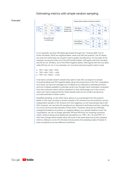#### Estimating metrics with simple random sampling

#### Example



In our example, we have 10k labels generated through Tier 1 reviews (left). Out of those 10k labels, 9500 are negative labels, while only 500 are positive. The GT labels are unknown (otherwise we wouldn't need a quality workflow) but, for the sake of the example, we assume that out of the 500 positive labels, 450 agree with the true label, and 50 do not. Similarly, out of the 9500 negative labels, 9250 agree with the true label, while 250 do not. So, in our example, our true (and unknown) quality metrics read:

- PPV = 450 / 500 = 90%
- $TPR = 450 / 700 = -64%$
- $FPR = 50 / 9300 = -0.5%$

If we draw a simple random sample (top right) of size 200, we expect to sample 10 positive labels and 190 negative labels, given the proportions in the Tier 1 population. As a result, we have (on average) only 10 labels at our disposal to estimate precision, and only 14 labels available to estimate recall. Even though metric estimates computed from the confusion matrix will be unbiased (i.e. they will average out to the correct value over many measurements), these sample sizes are too small to produce an accurate estimate of either metric.

Stratified sampling, on the other hand, allows us to oversample from the positive labels. In this case, we drew a random sample of 50 reviews from the positives, and an independent sample of 150 reviews from the negatives, so the total sample size is still 200. However, we now have 50 samples at our disposal to estimate precision, resulting in a much more accurate estimate of that metric. However, because we artificially changed the balance of positive vs. negative labels in our sample (relative to the Tier 1 population), we can no longer estimate TPR and FPR from our resulting confusion matrix, without doing some additional calculations (i.e. TPR != 45 / 49, and FPR != 5 / 146). Even though these simple ratios will move in the same direction as the unbiased metrics, failing to correct for the bias introduced by the sampling makes it harder to draw comparisons across different workflows.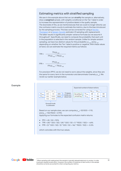#### <span id="page-18-0"></span>Estimating metrics with stratified sampling

We saw in the example above that we can **stratify** the sample or, alternatively, draw a **weighted** sample, with weights conditional on the Tier 1 label in order to increase the representation of positive labels in the quality sample. The downside of this, as we mentioned,was that we could no longer directly use the confusion matrix counts to estimate the metrics, due to the bias introduced by the sampling process. This bias can be corrected for using a [Horvitz-](https://en.wikipedia.org/wiki/Horvitz%E2%80%93Thompson_estimator)[Thompson](https://en.wikipedia.org/wiki/Horvitz%E2%80%93Thompson_estimator) or a [Hansen-Hurwitz](https://online.stat.psu.edu/stat506/lesson/3/3.2) estimator (if sampling with replacement). The latter results in significantly simpler variance formulas (so we assume it throughout)<sup>3</sup>. Specifically, we need to compute the probability that each unit in the population is selected in the random sample. Unlike for simple random sampling, we have two distinct values for this probability:  $p_{\text{vee}}$ , and  $p_{\text{vee}}$ , depending on whether the Tier 1 label is positive or negative. With these values at hand, we can estimate the required metrics as follows:

$$
\text{TPR} = \frac{\text{TPs}/p_{+ve}}{TPs/p_{+ve} + \text{FNs}/p_{-ve}}
$$

 $FPR = -$ FPs/*p*+*ve*  $FPs/p_{\perp}$  +  $TNs/p_{\perp}$ 

For precision (PPV), we do not need to worry about the weights, since they are the same for every term in the numerator and denominator (namely,  $p_{\text{max}}$ ). We revisit our earlier example below.



Based on our sample sizes, we can compute  $p_{\text{avg}}$ = 50/500 = 1/10, and  $p_{\text{avg}}$  = 150/9500 = 3/190.

Applying our formulas to the expected confusion matrix returns:

- $PPV = 45 / 50 = 90%$
- TPR =  $(45 * 500 / 50) / (45 * 500 / 50 + 5 * 9500 / 150) = ~64\%$
- FPR =  $(5 * 500 / 50) / (5 * 500 / 50 + 146 * 9500 / 150) = ~0.5%$

which coincides with the true values.

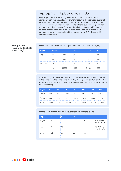#### <span id="page-19-0"></span>Aggregating multiple stratified samples

Inverse-probability estimators generalize effectively to multiple stratified samples. A common example occurs when measuring the aggregate quality of reviews conducted by multiple agent groups. For example, if we have a group of agents reviewing items in Region A, and another group reviewing items for the same workflow in Region B, we may draw independent stratified samples to measure their respective quality. We may then also want to report their aggregate quality (i.e. the quality of their pooled reviews). We illustrate this with another example.

#### Example with 2 regions and 2 strata in each region

In our example, we have 10k labels generated through Tier 1 reviews (left).

| Region   | <b>Stratum</b> | T1 population | T2 population | Pinclusion | W   |
|----------|----------------|---------------|---------------|------------|-----|
| Region 1 | $+ve$          | 1000          | 100           | 0.1        | 10  |
|          | $-ve$          | 10000         | 100           | 0.01       | 100 |
| Region 2 | $+ve$          | 2000          | 100           | 0.05       | 20  |
|          | $-ve$          | 50000         | 100           | 0.002      | 500 |

Where P<sub>inclusion</sub> denotes the probability that an item from that stratum ended up in the sample (i.e. the sample size divided by the respective stratum size), and w is the inverse of that quantity. Let the true confusion matrices and quality metrics be the following:

| Region                | ТP   | <b>FP</b> | <b>TN</b> | <b>FN</b> | <b>PPV</b> | <b>TPR</b> | <b>FPR</b> |
|-----------------------|------|-----------|-----------|-----------|------------|------------|------------|
| Region $1 \div 900$   |      | 100       | 9500      | 500       | 90%        | 64.3%      | $1.04\%$   |
| Region $2 \nmid 1500$ |      | 500       | 45000     | 5000      | : 75%      | 23.1%      | $1.10\%$   |
| Total                 | 2400 | 600       | 54500     | 5500      | 80%        | 30.4%      | 1.09%      |

Let the confusion matrices for the quality sample be the following:

| Region   | <b>TP</b>        | <b>FP</b> | <b>TN</b> | <b>FN</b> | W                             |
|----------|------------------|-----------|-----------|-----------|-------------------------------|
| Region 1 | 90               | 10        | 95        | 5         | 10 (TP & FP)<br>100 (TN & FN) |
| Region 2 | $\frac{1}{2}$ 75 | 25        | 90        | 10        | 20 (TP & FP)<br>500 (TN & FN) |
| Total    | 165              | 35        | 185       | 15        |                               |

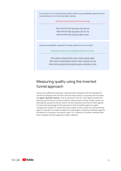If we were to try to estimate the quality without any probability adjustment we would obtain an incorrect estimate, namely:

Estimates using canonical formulas (wrong)

*PPV=TP/(TP+FP)=165/(165+35)=82.5% TPR=TP/(TP+FN)=165/(165+15)=91.7% FPR=FP/(FP+TN)=35/(35+185)=15.9%*

Using the probability-adjusted formulas yields the correct result

Estimates using inverse-probability estimator (correct)

*PPV=(9010+7520)/(9010+1010+7520+2520)=80% TPR=(9010+7520)/(9010+5100+7520+10500)=30.4% FPR=(1010+2520)/(1010+95100+2520+90500)=1.09%*

#### Measuring quality using the Inverted funnel approach

The primary difference between measurements obtained with the standard FA and those obtained with the IFA is that the base metrics computed with the latter are **agent-specific metrics**. That is, because in the IFA, each agent reviews the same ground-truth set, we have a direct measurement of their quality metrics on that specific ground-truth set, which can be compared with that of other agents. An important advantage of this approach is that it enables agent-to-agent comparisons (unlike FA, where the total number of QA reviews for each particular agent is typically too small to enable any meaningful comparison between agents) and allows us to assess 'how good it gets' (i.e. it allows us to better evaluate what level of quality the best agents are able to deliver).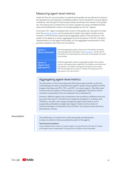#### <span id="page-21-0"></span>Measuring agent-level metrics

Under the IFA, the core principles for selecting the *golden set* are identical to those in the standard FA, and typically a stratified sample is recommended for low prevalence workflows, with the goal of improving the balance between the classes in the golden set. The typical way to achieve this is to draw a golden set using a stratified sample where the stratification criterion is the label applied by the Tier 1 agents.

Once each Tier 1 agent completes their review of the golden set, the same formulas from the [previous section](#page-18-0) can be employed to obtain each agent's quality scores. However, in the FA we are measuring the aggregate quality of the *process* (i.e. the quality of the labels as a whole, aggregated over all reviewers). In the IFA, the direct measurement is on the agent-level quality, so if an aggregate measurement of the process is desired, then there are two options:

| <b>Option 1</b><br>(Direct Estimate)            | Estimate aggregate quality directly from the golden set labels,<br>using the approach illustrated in the FA section. Just like the FA,<br>this suffers from data sparsity, as the size of the golden set tends<br>to be limited.                                                                  |
|-------------------------------------------------|---------------------------------------------------------------------------------------------------------------------------------------------------------------------------------------------------------------------------------------------------------------------------------------------------|
| <b>Option 2</b><br>(Agent-level<br>aggregation) | Estimate aggregate quality by aggregating agent-level quality<br>metrics with appropriate weighting. This requires some technical<br>assumptions, but better leverages the large amount of data<br>that the IFA approach produces. Details of this approach are<br>discussed in the next section. |

#### Aggregating agent-level metrics

The discussion of the Funnel Approach (FA) above also provides us with the methodology we need to estimate each agent's quality using a golden set (IFA). Imagine that these are PPVi, TPR i, and FPR i, for a given agent, *i*. We often want to know what the quality of the process is, on aggregate. This kind of metric would be comparable to the one obtained from a standard FA.

However, different agents may contribute to the workflow in different amounts (e.g. part-time work vs. full-time work, experienced agents vs. trainees, etc). Therefore, we often can't simply average the agent-level metrics, and it is generally preferable to weight each agent's metric by the volume of reviews that agent contributed to the workflow. This requires some technical assumptions, namely

Assumption The distribution of content from which the golden set distribution is drawn is similar to that encountered by each of the agents.

#### **Technical formulation**

The probability that a review is routed to agent i is proportional to the rate of reviews of the agent and is independent of the ground truth label of the reviewable.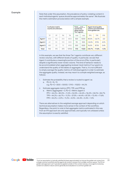#### Example

Note that under this assumption, the prevalence of policy-violating content in each individual agents' queue should be approximately the same<sup>4</sup>. We illustrate the metric estimation process below with a simple example.

|              | <b>Confusion matrix</b><br>counts are unknown. |     |           | $Total_{\text{two}}$ and $\text{two}}$<br>counts are<br>observed for<br>Tier1 agnets |        | Agent-level quality<br>metrics are estimated<br>from golden set. |            |            |            |
|--------------|------------------------------------------------|-----|-----------|--------------------------------------------------------------------------------------|--------|------------------------------------------------------------------|------------|------------|------------|
|              | TP                                             | FP. | <b>FN</b> | <b>TN</b>                                                                            | $+VES$ | $+VES$                                                           | <b>PPV</b> | <b>TPR</b> | <b>FPR</b> |
| Agent1       | 400                                            | 100 | 200       | 4800                                                                                 | 500    | 5000                                                             | 80.0%      | $~166.7\%$ | $-2.0$     |
| Agent 2      | 60                                             | 50  | 100       | 1200                                                                                 | 110    | 1300                                                             | $~54.5\%$  | 37.5%      | 4.0%       |
| Agent 3      | 480                                            | 20  | 70        | 4950                                                                                 | 500    | 5020                                                             | 96.0%      | 87.3%      | 0.4%       |
| <b>Total</b> | 940                                            | 170 | 370       | 10950                                                                                | 1110   | 11320                                                            | $~-84.7\%$ | $-71.8%$   | $~1.5\%$   |

In this example, we see that the three Tier 1 agents contribute very different review volumes, with different levels of quality. In particular, we see that Agent 2 contributes a meaningful portion of the errors (FNs, in particular), despite a significantly lower review volume. This kind of behavior needs to be accommodated when aggregating reviewer-level metrics if our goal is to understand the quality of the labels on aggregate. That is, it is not sufficient to simply average the quality metrics of individual agents in order to estimate the aggregate quality. Instead, we may resort to a simple weighted average, as follows:

- 1. Estimate the probability that a review is routed to agent i as a.  $P[r=i] = N_i / N$ 
	- e.g.  $P[r=1] = (500 + 5000) / (1110 + 11320) = 44.2\%$
- 2. Estimate aggregate metrics (PPV, TPR, and FPR) as
	- a. Metric (aggregate) =  $\Sigma_i$  P[r=i] × Metric (agent i) PPV =  $44.2\% \times 80.0\% + 11.2\% \times 54.5\% + 44.4\% \times 96.0\% = 84.1\% \approx 84.7\%$ TPR =  $44.2\% \times 66.7\% + 11.2\% \times 37.5\% + 44.4\% \times 87.3\% = 72.4\% \approx 71.8\%$  $FPR = 44.2\% \times 2.0\% + 11.2\% \times 4.0\% + 44.4\% \times 0.4\% = 1.5\%$

There are alternatives to the weighted average approach depending on which technical assumption makes more sense in the context of the workflow. Regardless, the point to note is that aggregate metrics estimated in this way from an IFA approach are only approximate, and typically not unbiased unless the assumption is exactly satisfied.

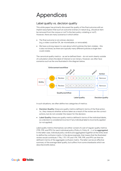## Appendices

#### Label quality vs. decision quality

This white paper has primarily discussed the quality of the final outcome with an implicit assumption that such an outcome is binary in nature (e.g., should an item be removed from the corpus or not? Is the item policy-violating or not?). However, there are many scenarios in which either:

- The final outcome is not a binary decision (e.g. a video could be OK, de-monetizable, or removable);
- We have a strong reason to care about which policies the item violates this is also not binary as there are typically many different policies a single item could violate.

The canonical quality metrics - as we've defined them - do not work cleanly outside of a situtation where the label of interest is non-binary. However, we often face scenarios such as the one illustrated in the diagram below.



In such situations, we often define two categories of metrics:

- **Decision Quality:** these are quality metrics defined in terms of the final action. I.e., they measure whether actions taken as a result of the review are the correct actions, but do not consider the *reason* for the decision.
- **Label Quality:** these are quality metrics defined in terms of the individual labels, so a decision is considered incorrect if any individual label is incorrectly applied (or not applied).

*Label quality* metrics themselves can either consist of a set of regular quality metrics (TPR, FPR, and PPV) for each individual policy (Policy A, Policy B, …), or be **aggregated**. In the latter case, individual policy verdicts are aggregated together at the entity level to define the confusion matrix. In the above example, that means that the illustrated review would contribute 7 TNs, 1 TP, 1 FP, and 1 FN. TPR, FPR, and PPV can then be defined in terms of the aggregate confusion matrix. The latter can be an effective summary of the average label quality, but suffers from some drawbacks which we describe briefly below.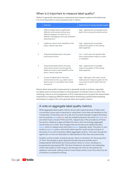#### When is it important to measure label quality?

While it is generally interesting to understand and measure quality at the label level. it is more important in some scenarios than in others:

|                | <b>Scenario</b>                                                                                                                                                                           | Importance of measuring label quality                                                                                                |
|----------------|-------------------------------------------------------------------------------------------------------------------------------------------------------------------------------------------|--------------------------------------------------------------------------------------------------------------------------------------|
| 1              | Different labels lead to significantly<br>different enforcement actions (e.g.,<br>different degrees of friction for- or<br>different messaging to the user/publisher/<br>advertiser/etc.) | High - applying the wrong label would<br>lead to the wrong enforcement action                                                        |
| 2              | Labels are used to train classifiers at the<br>policy-/abuse-type level                                                                                                                   | High - applying the wrong label<br>impacts the quality of the training<br>data negatively                                            |
| 3              | All (positive) labels lead to the same<br>enforcement action                                                                                                                              | Low - in this case, the specific label<br>has no downstream impact on users<br>or classifiers                                        |
| $\overline{4}$ | All (positive) labels lead to the same<br>enforcement action, but the specific<br>labels are used to train classifiers at the<br>policy-/abuse-type level                                 | High - applying the wrong label<br>impacts the quality of the training<br>data negatively                                            |
| 5              | Groups of labels lead to the same<br>enforcement action, e.g., labels 1 and 2<br>lead to action A, and labels 3 and 4 lead<br>to action B                                                 | High - although in this case it would<br>make sense to measure quality for the<br>two actions A and B, rather than the<br>labels 1-4 |

Robust label-level quality measurement is generally harder to achieve, especially for labels which are less prevalent in the population of interest (more on this in the following). Hence an encouragement to first understand and compare the downstream implications of applying different labels before developing sophisticated sampling techniques to support the more granular label-level quality metrics.

#### A note on aggregate label quality metrics

While aggregate label quality metrics do provide a general sense of label-level correctness, some care is important in using them, since they are sensitive to the composition of the policy set. As a silly, but concrete example, imagine that there are two policies, blue and red, that are violated whenever the entity is blue or red, and which have a recall of 90% and 10%, respectively. If the prevalence of these two policy violations is approximately the same, then the average aggregate recall works out to 50%. Now imagine that we introduce an additional policy, azure, which is violated when the entity is azure (basically, blue). This policy is very similar to our blue policy, with similar label-specific recall, but the inclusion of this policy in our set of policies inflates aggregate recall to ~63% even though the agents are no more (or less) able to make decisions than they were previously.

Similarly, as the number of policies grows, there is a tendency for the proportion of TNs in the sample to grow disproportionally because policies aren't independently distributed and many policies rarely co-occur, resulting in a progressively decreasing FPR. This kind of behavior can lead to the misleading notion that quality is improving (or worsening) over time as new policies are added (or removed), making it hard to track these metrics over time when the set of policies is constantly evolving.